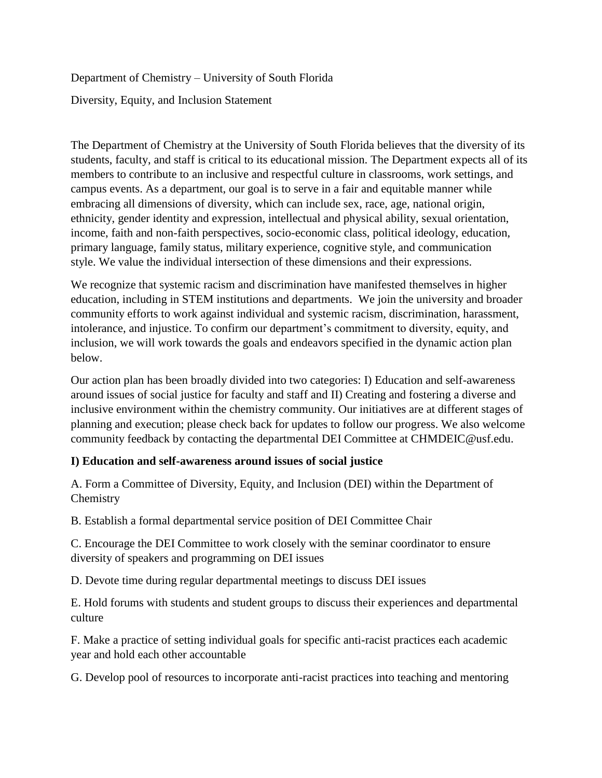Department of Chemistry – University of South Florida Diversity, Equity, and Inclusion Statement

The Department of Chemistry at the University of South Florida believes that the diversity of its students, faculty, and staff is critical to its educational mission. The Department expects all of its members to contribute to an inclusive and respectful culture in classrooms, work settings, and campus events. As a department, our goal is to serve in a fair and equitable manner while embracing all dimensions of diversity, which can include sex, race, age, national origin, ethnicity, gender identity and expression, intellectual and physical ability, sexual orientation, income, faith and non-faith perspectives, socio-economic class, political ideology, education, primary language, family status, military experience, cognitive style, and communication style. We value the individual intersection of these dimensions and their expressions.

We recognize that systemic racism and discrimination have manifested themselves in higher education, including in STEM institutions and departments. We join the university and broader community efforts to work against individual and systemic racism, discrimination, harassment, intolerance, and injustice. To confirm our department's commitment to diversity, equity, and inclusion, we will work towards the goals and endeavors specified in the dynamic action plan below.

Our action plan has been broadly divided into two categories: I) Education and self-awareness around issues of social justice for faculty and staff and II) Creating and fostering a diverse and inclusive environment within the chemistry community. Our initiatives are at different stages of planning and execution; please check back for updates to follow our progress. We also welcome community feedback by contacting the departmental DEI Committee at CHMDEI[C@usf.edu.](mailto:dcruz5@usf.edu%22%20/)

## **I) Education and self-awareness around issues of social justice**

A. Form a Committee of Diversity, Equity, and Inclusion (DEI) within the Department of Chemistry

B. Establish a formal departmental service position of DEI Committee Chair

C. Encourage the DEI Committee to work closely with the seminar coordinator to ensure diversity of speakers and programming on DEI issues

D. Devote time during regular departmental meetings to discuss DEI issues

E. Hold forums with students and student groups to discuss their experiences and departmental culture

F. Make a practice of setting individual goals for specific anti-racist practices each academic year and hold each other accountable

G. Develop pool of resources to incorporate anti-racist practices into teaching and mentoring